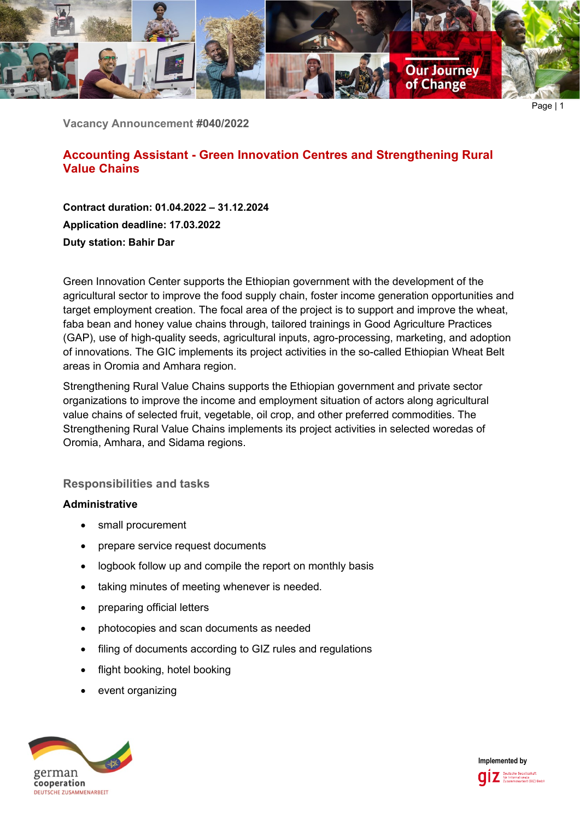

Page | 1

**Vacancy Announcement #040/2022**

**Accounting Assistant - Green Innovation Centres and Strengthening Rural Value Chains**

**Contract duration: 01.04.2022 – 31.12.2024 Application deadline: 17.03.2022 Duty station: Bahir Dar**

Green Innovation Center supports the Ethiopian government with the development of the agricultural sector to improve the food supply chain, foster income generation opportunities and target employment creation. The focal area of the project is to support and improve the wheat, faba bean and honey value chains through, tailored trainings in Good Agriculture Practices (GAP), use of high-quality seeds, agricultural inputs, agro-processing, marketing, and adoption of innovations. The GIC implements its project activities in the so-called Ethiopian Wheat Belt areas in Oromia and Amhara region.

Strengthening Rural Value Chains supports the Ethiopian government and private sector organizations to improve the income and employment situation of actors along agricultural value chains of selected fruit, vegetable, oil crop, and other preferred commodities. The Strengthening Rural Value Chains implements its project activities in selected woredas of Oromia, Amhara, and Sidama regions.

# **Responsibilities and tasks**

### **Administrative**

- small procurement
- prepare service request documents
- logbook follow up and compile the report on monthly basis
- taking minutes of meeting whenever is needed.
- preparing official letters
- photocopies and scan documents as needed
- filing of documents according to GIZ rules and regulations
- flight booking, hotel booking
- event organizing



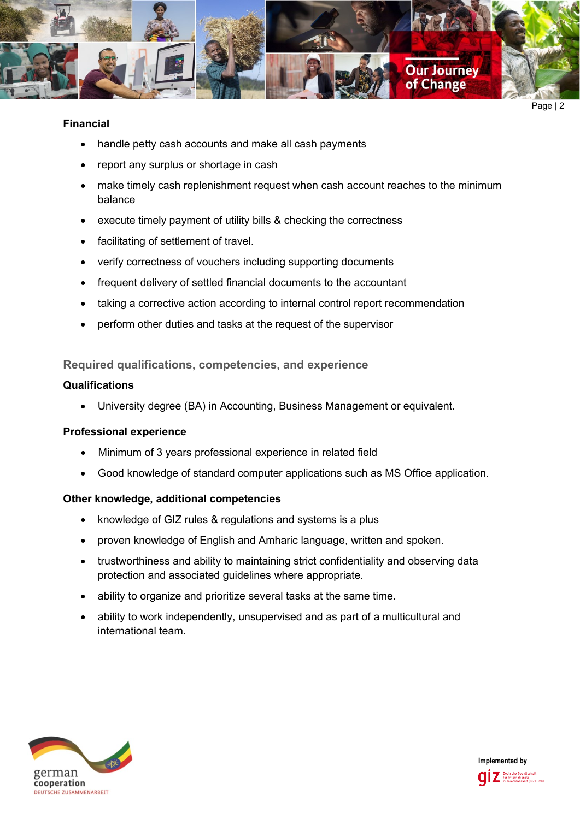

### **Financial**

- handle petty cash accounts and make all cash payments
- report any surplus or shortage in cash
- make timely cash replenishment request when cash account reaches to the minimum balance
- execute timely payment of utility bills & checking the correctness
- facilitating of settlement of travel.
- verify correctness of vouchers including supporting documents
- frequent delivery of settled financial documents to the accountant
- taking a corrective action according to internal control report recommendation
- perform other duties and tasks at the request of the supervisor

## **Required qualifications, competencies, and experience**

### **Qualifications**

• University degree (BA) in Accounting, Business Management or equivalent.

### **Professional experience**

- Minimum of 3 years professional experience in related field
- Good knowledge of standard computer applications such as MS Office application.

### **Other knowledge, additional competencies**

- knowledge of GIZ rules & regulations and systems is a plus
- proven knowledge of English and Amharic language, written and spoken.
- trustworthiness and ability to maintaining strict confidentiality and observing data protection and associated guidelines where appropriate.
- ability to organize and prioritize several tasks at the same time.
- ability to work independently, unsupervised and as part of a multicultural and international team.



**Implemented by** e<br>(GIZ) Gmbl